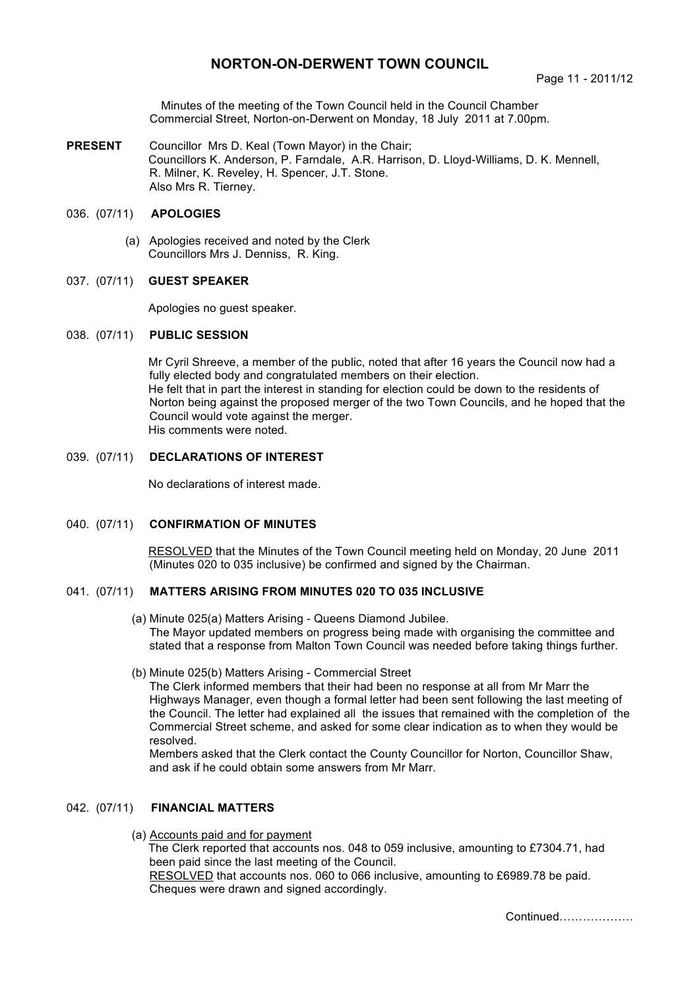# **NORTON-ON-DERWENT TOWN COUNCIL**

Minutes of the meeting of the Town Council held in the Council Chamber Commercial Street, Norton-on-Derwent on Monday, 18 July 2011 at 7.00pm.

**PRESENT** Councillor Mrs D. Keal (Town Mayor) in the Chair; Councillors K. Anderson, P. Farndale, A.R. Harrison, D. Lloyd-Williams, D. K. Mennell, R. Milner, K. Reveley, H. Spencer, J.T. Stone. Also Mrs R. Tierney.

# 036. (07/11) **APOLOGIES**

 (a) Apologies received and noted by the Clerk Councillors Mrs J. Denniss, R. King.

# 037. (07/11) **GUEST SPEAKER**

Apologies no guest speaker.

#### 038. (07/11) **PUBLIC SESSION**

Mr Cyril Shreeve, a member of the public, noted that after 16 years the Council now had a fully elected body and congratulated members on their election. He felt that in part the interest in standing for election could be down to the residents of Norton being against the proposed merger of the two Town Councils, and he hoped that the Council would vote against the merger. His comments were noted.

# 039. (07/11) **DECLARATIONS OF INTEREST**

No declarations of interest made.

#### 040. (07/11) **CONFIRMATION OF MINUTES**

 RESOLVED that the Minutes of the Town Council meeting held on Monday, 20 June 2011 (Minutes 020 to 035 inclusive) be confirmed and signed by the Chairman.

# 041. (07/11) **MATTERS ARISING FROM MINUTES 020 TO 035 INCLUSIVE**

- (a) Minute 025(a) Matters Arising Queens Diamond Jubilee. The Mayor updated members on progress being made with organising the committee and stated that a response from Malton Town Council was needed before taking things further.
- (b) Minute 025(b) Matters Arising Commercial Street

The Clerk informed members that their had been no response at all from Mr Marr the Highways Manager, even though a formal letter had been sent following the last meeting of the Council. The letter had explained all the issues that remained with the completion of the Commercial Street scheme, and asked for some clear indication as to when they would be resolved.

Members asked that the Clerk contact the County Councillor for Norton, Councillor Shaw, and ask if he could obtain some answers from Mr Marr.

## 042. (07/11) **FINANCIAL MATTERS**

(a) Accounts paid and for payment

The Clerk reported that accounts nos. 048 to 059 inclusive, amounting to £7304.71, had been paid since the last meeting of the Council.

 RESOLVED that accounts nos. 060 to 066 inclusive, amounting to £6989.78 be paid. Cheques were drawn and signed accordingly.

Continued……………….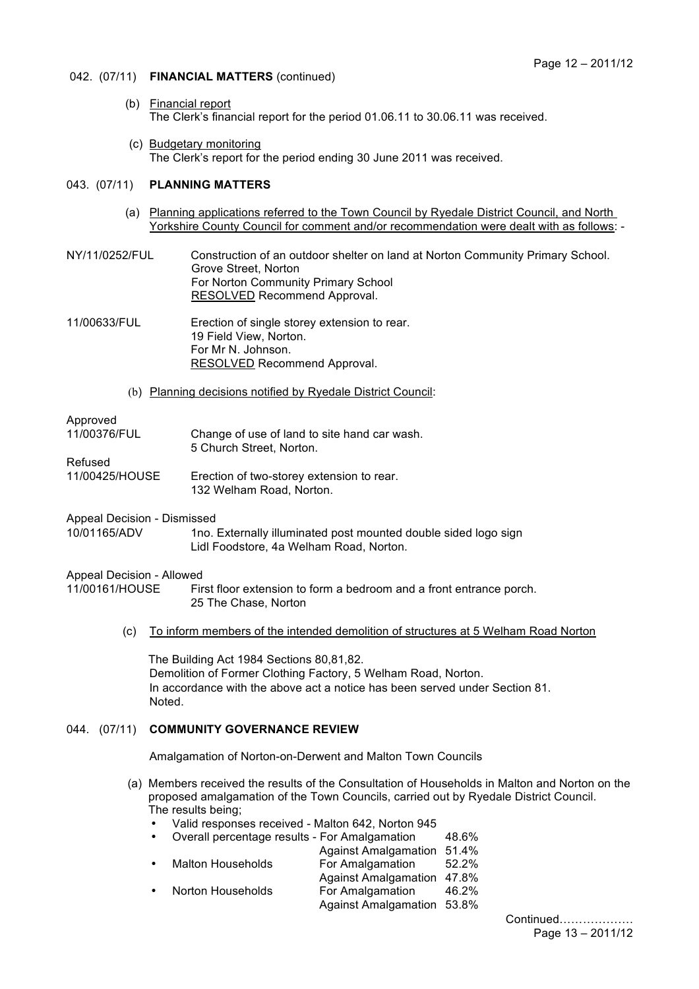# 042. (07/11) **FINANCIAL MATTERS** (continued)

- (b) Financial report The Clerk's financial report for the period 01.06.11 to 30.06.11 was received.
- (c) Budgetary monitoring The Clerk's report for the period ending 30 June 2011 was received.

#### 043. (07/11) **PLANNING MATTERS**

- (a) Planning applications referred to the Town Council by Ryedale District Council, and North Yorkshire County Council for comment and/or recommendation were dealt with as follows: -
- NY/11/0252/FUL Construction of an outdoor shelter on land at Norton Community Primary School. Grove Street, Norton For Norton Community Primary School RESOLVED Recommend Approval.

11/00633/FUL Erection of single storey extension to rear. 19 Field View, Norton. For Mr N. Johnson. RESOLVED Recommend Approval.

(b) Planning decisions notified by Ryedale District Council:

### Approved

| 11/00376/FUL   | Change of use of land to site hand car wash.<br>5 Church Street. Norton. |
|----------------|--------------------------------------------------------------------------|
| Refused        |                                                                          |
| 11/00425/HOUSE | Erection of two-storey extension to rear.<br>132 Welham Road, Norton.    |

Appeal Decision - Dismissed

10/01165/ADV 1no. Externally illuminated post mounted double sided logo sign Lidl Foodstore, 4a Welham Road, Norton.

#### Appeal Decision - Allowed

11/00161/HOUSE First floor extension to form a bedroom and a front entrance porch. 25 The Chase, Norton

(c) To inform members of the intended demolition of structures at 5 Welham Road Norton

The Building Act 1984 Sections 80,81,82. Demolition of Former Clothing Factory, 5 Welham Road, Norton. In accordance with the above act a notice has been served under Section 81. Noted.

# 044. (07/11) **COMMUNITY GOVERNANCE REVIEW**

Amalgamation of Norton-on-Derwent and Malton Town Councils

- (a) Members received the results of the Consultation of Households in Malton and Norton on the proposed amalgamation of the Town Councils, carried out by Ryedale District Council. The results being;
	- Valid responses received Malton 642, Norton 945

| $\bullet$ | Overall percentage results - For Amalgamation |                             | 48.6% |
|-----------|-----------------------------------------------|-----------------------------|-------|
|           |                                               | <b>Against Amalgamation</b> | 51.4% |
| $\bullet$ | <b>Malton Households</b>                      | For Amalgamation            | 52.2% |
|           |                                               | Against Amalgamation 47.8%  |       |
| $\bullet$ | Norton Households                             | For Amalgamation            | 46.2% |
|           |                                               | Against Amalgamation 53.8%  |       |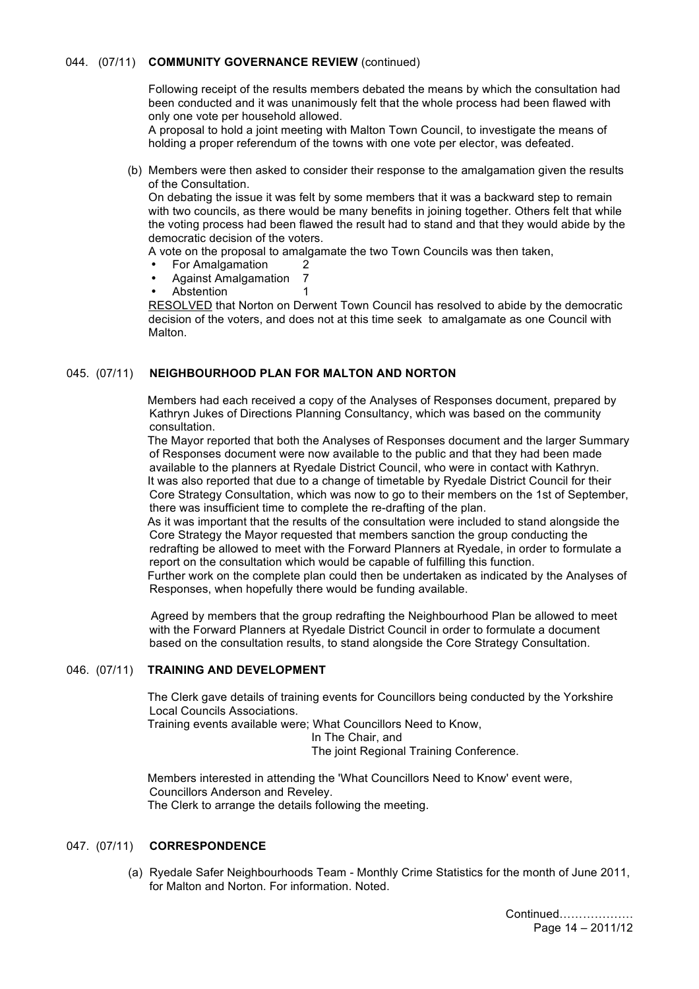## 044. (07/11) **COMMUNITY GOVERNANCE REVIEW** (continued)

Following receipt of the results members debated the means by which the consultation had been conducted and it was unanimously felt that the whole process had been flawed with only one vote per household allowed.

A proposal to hold a joint meeting with Malton Town Council, to investigate the means of holding a proper referendum of the towns with one vote per elector, was defeated.

 (b) Members were then asked to consider their response to the amalgamation given the results of the Consultation.

On debating the issue it was felt by some members that it was a backward step to remain with two councils, as there would be many benefits in joining together. Others felt that while the voting process had been flawed the result had to stand and that they would abide by the democratic decision of the voters.

A vote on the proposal to amalgamate the two Town Councils was then taken,

- For Amalgamation 2
- Against Amalgamation 7
- Abstention 1

RESOLVED that Norton on Derwent Town Council has resolved to abide by the democratic decision of the voters, and does not at this time seek to amalgamate as one Council with Malton.

# 045. (07/11) **NEIGHBOURHOOD PLAN FOR MALTON AND NORTON**

Members had each received a copy of the Analyses of Responses document, prepared by Kathryn Jukes of Directions Planning Consultancy, which was based on the community consultation.

The Mayor reported that both the Analyses of Responses document and the larger Summary of Responses document were now available to the public and that they had been made available to the planners at Ryedale District Council, who were in contact with Kathryn. It was also reported that due to a change of timetable by Ryedale District Council for their Core Strategy Consultation, which was now to go to their members on the 1st of September, there was insufficient time to complete the re-drafting of the plan.

As it was important that the results of the consultation were included to stand alongside the Core Strategy the Mayor requested that members sanction the group conducting the redrafting be allowed to meet with the Forward Planners at Ryedale, in order to formulate a report on the consultation which would be capable of fulfilling this function. Further work on the complete plan could then be undertaken as indicated by the Analyses of

Responses, when hopefully there would be funding available.

 Agreed by members that the group redrafting the Neighbourhood Plan be allowed to meet with the Forward Planners at Ryedale District Council in order to formulate a document based on the consultation results, to stand alongside the Core Strategy Consultation.

#### 046. (07/11) **TRAINING AND DEVELOPMENT**

The Clerk gave details of training events for Councillors being conducted by the Yorkshire Local Councils Associations.

Training events available were; What Councillors Need to Know,

In The Chair, and

The joint Regional Training Conference.

Members interested in attending the 'What Councillors Need to Know' event were, Councillors Anderson and Reveley. The Clerk to arrange the details following the meeting.

# 047. (07/11) **CORRESPONDENCE**

 (a) Ryedale Safer Neighbourhoods Team - Monthly Crime Statistics for the month of June 2011, for Malton and Norton. For information. Noted.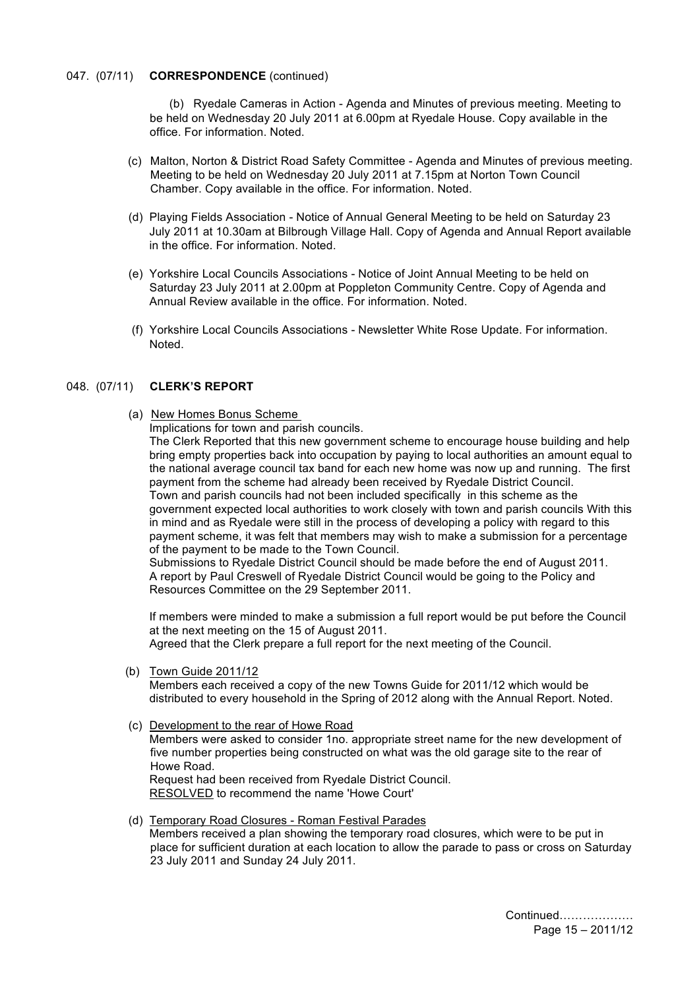### 047. (07/11) **CORRESPONDENCE** (continued)

 (b) Ryedale Cameras in Action - Agenda and Minutes of previous meeting. Meeting to be held on Wednesday 20 July 2011 at 6.00pm at Ryedale House. Copy available in the office. For information. Noted.

- (c) Malton, Norton & District Road Safety Committee Agenda and Minutes of previous meeting. Meeting to be held on Wednesday 20 July 2011 at 7.15pm at Norton Town Council Chamber. Copy available in the office. For information. Noted.
- (d) Playing Fields Association Notice of Annual General Meeting to be held on Saturday 23 July 2011 at 10.30am at Bilbrough Village Hall. Copy of Agenda and Annual Report available in the office. For information. Noted.
- (e) Yorkshire Local Councils Associations Notice of Joint Annual Meeting to be held on Saturday 23 July 2011 at 2.00pm at Poppleton Community Centre. Copy of Agenda and Annual Review available in the office. For information. Noted.
- (f) Yorkshire Local Councils Associations Newsletter White Rose Update. For information. Noted.

# 048. (07/11) **CLERK'S REPORT**

(a) New Homes Bonus Scheme

Implications for town and parish councils.

The Clerk Reported that this new government scheme to encourage house building and help bring empty properties back into occupation by paying to local authorities an amount equal to the national average council tax band for each new home was now up and running. The first payment from the scheme had already been received by Ryedale District Council. Town and parish councils had not been included specifically in this scheme as the government expected local authorities to work closely with town and parish councils With this in mind and as Ryedale were still in the process of developing a policy with regard to this payment scheme, it was felt that members may wish to make a submission for a percentage of the payment to be made to the Town Council.

Submissions to Ryedale District Council should be made before the end of August 2011. A report by Paul Creswell of Ryedale District Council would be going to the Policy and Resources Committee on the 29 September 2011.

If members were minded to make a submission a full report would be put before the Council at the next meeting on the 15 of August 2011. Agreed that the Clerk prepare a full report for the next meeting of the Council.

(b) Town Guide 2011/12

Members each received a copy of the new Towns Guide for 2011/12 which would be distributed to every household in the Spring of 2012 along with the Annual Report. Noted.

(c) Development to the rear of Howe Road

Members were asked to consider 1no. appropriate street name for the new development of five number properties being constructed on what was the old garage site to the rear of Howe Road.

Request had been received from Ryedale District Council. RESOLVED to recommend the name 'Howe Court'

 (d) Temporary Road Closures - Roman Festival Parades Members received a plan showing the temporary road closures, which were to be put in place for sufficient duration at each location to allow the parade to pass or cross on Saturday 23 July 2011 and Sunday 24 July 2011.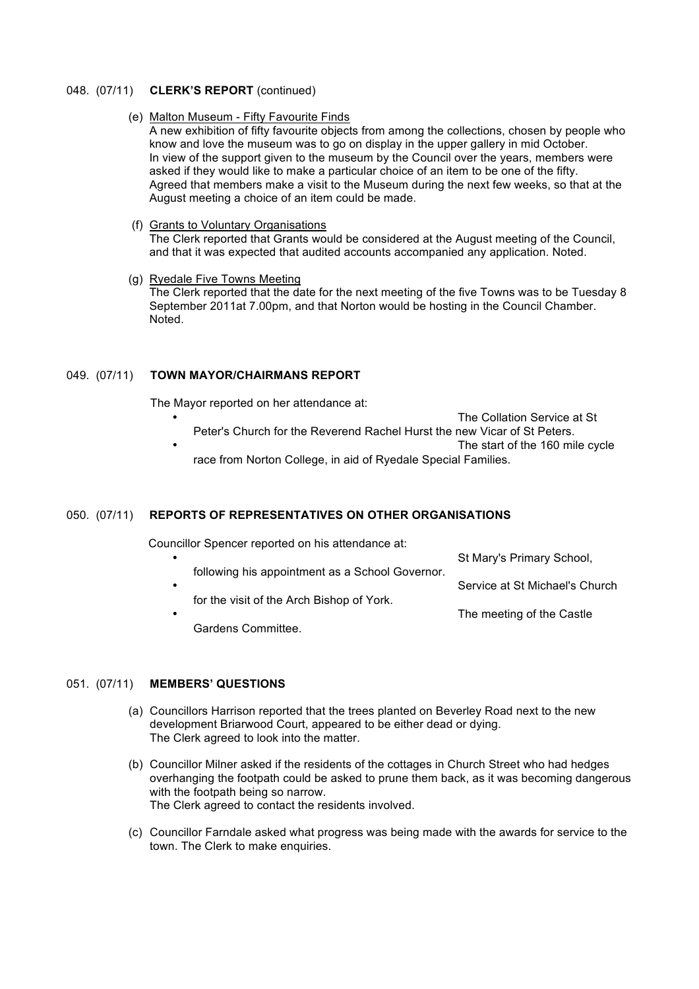#### 048. (07/11) **CLERK'S REPORT** (continued)

#### (e) Malton Museum - Fifty Favourite Finds

A new exhibition of fifty favourite objects from among the collections, chosen by people who know and love the museum was to go on display in the upper gallery in mid October. In view of the support given to the museum by the Council over the years, members were asked if they would like to make a particular choice of an item to be one of the fifty. Agreed that members make a visit to the Museum during the next few weeks, so that at the August meeting a choice of an item could be made.

# (f) Grants to Voluntary Organisations

The Clerk reported that Grants would be considered at the August meeting of the Council, and that it was expected that audited accounts accompanied any application. Noted.

#### (g) Ryedale Five Towns Meeting

The Clerk reported that the date for the next meeting of the five Towns was to be Tuesday 8 September 2011at 7.00pm, and that Norton would be hosting in the Council Chamber. Noted.

#### 049. (07/11) **TOWN MAYOR/CHAIRMANS REPORT**

The Mayor reported on her attendance at:

- The Collation Service at St Peter's Church for the Reverend Rachel Hurst the new Vicar of St Peters. The start of the 160 mile cycle
	- race from Norton College, in aid of Ryedale Special Families.

#### 050. (07/11) **REPORTS OF REPRESENTATIVES ON OTHER ORGANISATIONS**

Councillor Spencer reported on his attendance at:

- St Mary's Primary School, following his appointment as a School Governor. Service at St Michael's Church for the visit of the Arch Bishop of York. The meeting of the Castle
	- Gardens Committee.

## 051. (07/11) **MEMBERS' QUESTIONS**

- (a) Councillors Harrison reported that the trees planted on Beverley Road next to the new development Briarwood Court, appeared to be either dead or dying. The Clerk agreed to look into the matter.
- (b) Councillor Milner asked if the residents of the cottages in Church Street who had hedges overhanging the footpath could be asked to prune them back, as it was becoming dangerous with the footpath being so narrow. The Clerk agreed to contact the residents involved.
- (c) Councillor Farndale asked what progress was being made with the awards for service to the town. The Clerk to make enquiries.